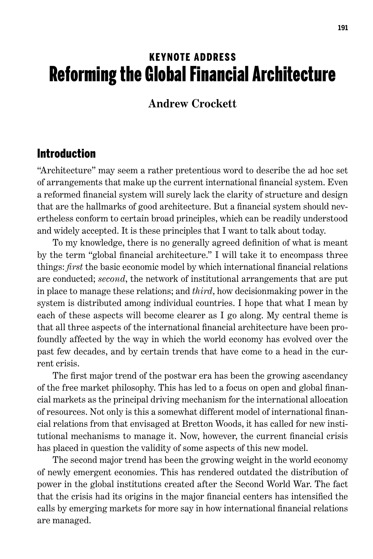# KEYNOTE Address Reforming the Global Financial Architecture

#### **Andrew Crockett**

#### Introduction

"Architecture" may seem a rather pretentious word to describe the ad hoc set of arrangements that make up the current international financial system. Even a reformed financial system will surely lack the clarity of structure and design that are the hallmarks of good architecture. But a financial system should nevertheless conform to certain broad principles, which can be readily understood and widely accepted. It is these principles that I want to talk about today.

To my knowledge, there is no generally agreed definition of what is meant by the term "global financial architecture." I will take it to encompass three things: *first* the basic economic model by which international financial relations are conducted; *second*, the network of institutional arrangements that are put in place to manage these relations; and *third*, how decisionmaking power in the system is distributed among individual countries. I hope that what I mean by each of these aspects will become clearer as I go along. My central theme is that all three aspects of the international financial architecture have been profoundly affected by the way in which the world economy has evolved over the past few decades, and by certain trends that have come to a head in the current crisis.

The first major trend of the postwar era has been the growing ascendancy of the free market philosophy. This has led to a focus on open and global financial markets as the principal driving mechanism for the international allocation of resources. Not only is this a somewhat different model of international financial relations from that envisaged at Bretton Woods, it has called for new institutional mechanisms to manage it. Now, however, the current financial crisis has placed in question the validity of some aspects of this new model.

The second major trend has been the growing weight in the world economy of newly emergent economies. This has rendered outdated the distribution of power in the global institutions created after the Second World War. The fact that the crisis had its origins in the major financial centers has intensified the calls by emerging markets for more say in how international financial relations are managed.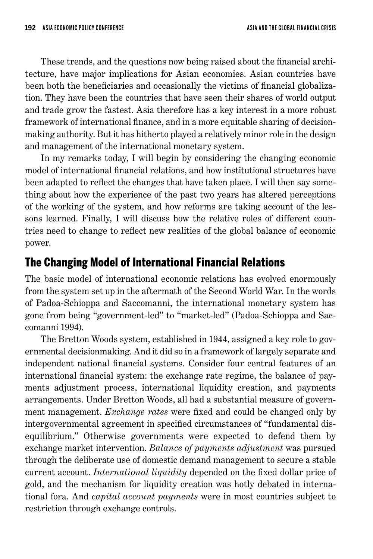These trends, and the questions now being raised about the financial architecture, have major implications for Asian economies. Asian countries have been both the beneficiaries and occasionally the victims of financial globalization. They have been the countries that have seen their shares of world output and trade grow the fastest. Asia therefore has a key interest in a more robust framework of international finance, and in a more equitable sharing of decisionmaking authority. But it has hitherto played a relatively minor role in the design and management of the international monetary system.

In my remarks today, I will begin by considering the changing economic model of international financial relations, and how institutional structures have been adapted to reflect the changes that have taken place. I will then say something about how the experience of the past two years has altered perceptions of the working of the system, and how reforms are taking account of the lessons learned. Finally, I will discuss how the relative roles of different countries need to change to reflect new realities of the global balance of economic power.

## The Changing Model of International Financial Relations

The basic model of international economic relations has evolved enormously from the system set up in the aftermath of the Second World War. In the words of Padoa-Schioppa and Saccomanni, the international monetary system has gone from being "government-led" to "market-led" (Padoa-Schioppa and Saccomanni 1994).

The Bretton Woods system, established in 1944, assigned a key role to governmental decisionmaking. And it did so in a framework of largely separate and independent national financial systems. Consider four central features of an international financial system: the exchange rate regime, the balance of payments adjustment process, international liquidity creation, and payments arrangements. Under Bretton Woods, all had a substantial measure of government management. *Exchange rates* were fixed and could be changed only by intergovernmental agreement in specified circumstances of "fundamental disequilibrium." Otherwise governments were expected to defend them by exchange market intervention. *Balance of payments adjustment* was pursued through the deliberate use of domestic demand management to secure a stable current account. *International liquidity* depended on the fixed dollar price of gold, and the mechanism for liquidity creation was hotly debated in international fora. And *capital account payments* were in most countries subject to restriction through exchange controls.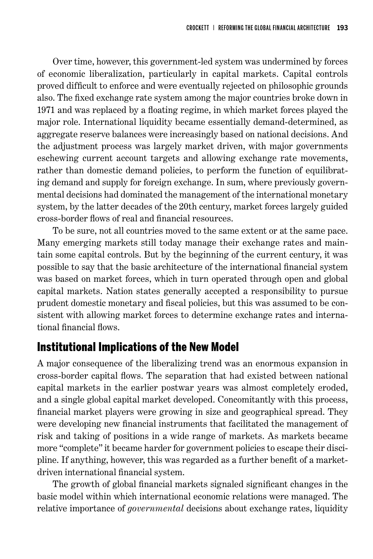Over time, however, this government-led system was undermined by forces of economic liberalization, particularly in capital markets. Capital controls proved difficult to enforce and were eventually rejected on philosophic grounds also. The fixed exchange rate system among the major countries broke down in 1971 and was replaced by a floating regime, in which market forces played the major role. International liquidity became essentially demand-determined, as aggregate reserve balances were increasingly based on national decisions. And the adjustment process was largely market driven, with major governments eschewing current account targets and allowing exchange rate movements, rather than domestic demand policies, to perform the function of equilibrating demand and supply for foreign exchange. In sum, where previously governmental decisions had dominated the management of the international monetary system, by the latter decades of the 20th century, market forces largely guided cross-border flows of real and financial resources.

To be sure, not all countries moved to the same extent or at the same pace. Many emerging markets still today manage their exchange rates and maintain some capital controls. But by the beginning of the current century, it was possible to say that the basic architecture of the international financial system was based on market forces, which in turn operated through open and global capital markets. Nation states generally accepted a responsibility to pursue prudent domestic monetary and fiscal policies, but this was assumed to be consistent with allowing market forces to determine exchange rates and international financial flows.

## Institutional Implications of the New Model

A major consequence of the liberalizing trend was an enormous expansion in cross-border capital flows. The separation that had existed between national capital markets in the earlier postwar years was almost completely eroded, and a single global capital market developed. Concomitantly with this process, financial market players were growing in size and geographical spread. They were developing new financial instruments that facilitated the management of risk and taking of positions in a wide range of markets. As markets became more "complete" it became harder for government policies to escape their discipline. If anything, however, this was regarded as a further benefit of a marketdriven international financial system.

The growth of global financial markets signaled significant changes in the basic model within which international economic relations were managed. The relative importance of *governmental* decisions about exchange rates, liquidity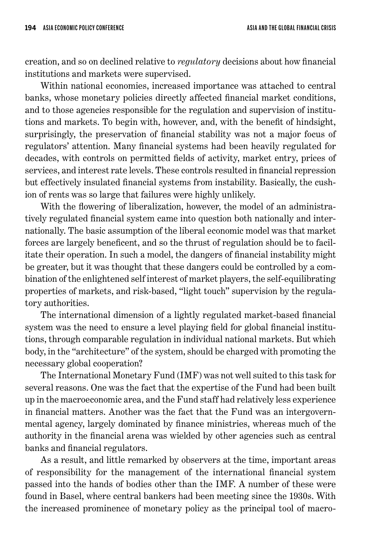creation, and so on declined relative to *regulatory* decisions about how financial institutions and markets were supervised.

Within national economies, increased importance was attached to central banks, whose monetary policies directly affected financial market conditions, and to those agencies responsible for the regulation and supervision of institutions and markets. To begin with, however, and, with the benefit of hindsight, surprisingly, the preservation of financial stability was not a major focus of regulators' attention. Many financial systems had been heavily regulated for decades, with controls on permitted fields of activity, market entry, prices of services, and interest rate levels. These controls resulted in financial repression but effectively insulated financial systems from instability. Basically, the cushion of rents was so large that failures were highly unlikely.

With the flowering of liberalization, however, the model of an administratively regulated financial system came into question both nationally and internationally. The basic assumption of the liberal economic model was that market forces are largely beneficent, and so the thrust of regulation should be to facilitate their operation. In such a model, the dangers of financial instability might be greater, but it was thought that these dangers could be controlled by a combination of the enlightened self interest of market players, the self-equilibrating properties of markets, and risk-based, "light touch" supervision by the regulatory authorities.

The international dimension of a lightly regulated market-based financial system was the need to ensure a level playing field for global financial institutions, through comparable regulation in individual national markets. But which body, in the "architecture" of the system, should be charged with promoting the necessary global cooperation?

The International Monetary Fund (IMF) was not well suited to this task for several reasons. One was the fact that the expertise of the Fund had been built up in the macroeconomic area, and the Fund staff had relatively less experience in financial matters. Another was the fact that the Fund was an intergovernmental agency, largely dominated by finance ministries, whereas much of the authority in the financial arena was wielded by other agencies such as central banks and financial regulators.

As a result, and little remarked by observers at the time, important areas of responsibility for the management of the international financial system passed into the hands of bodies other than the IMF. A number of these were found in Basel, where central bankers had been meeting since the 1930s. With the increased prominence of monetary policy as the principal tool of macro-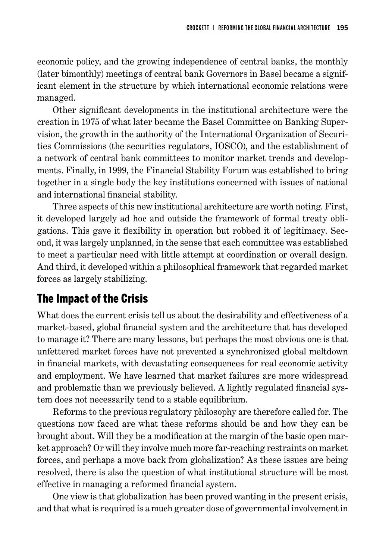economic policy, and the growing independence of central banks, the monthly (later bimonthly) meetings of central bank Governors in Basel became a significant element in the structure by which international economic relations were managed.

Other significant developments in the institutional architecture were the creation in 1975 of what later became the Basel Committee on Banking Supervision, the growth in the authority of the International Organization of Securities Commissions (the securities regulators, IOSCO), and the establishment of a network of central bank committees to monitor market trends and developments. Finally, in 1999, the Financial Stability Forum was established to bring together in a single body the key institutions concerned with issues of national and international financial stability.

Three aspects of this new institutional architecture are worth noting. First, it developed largely ad hoc and outside the framework of formal treaty obligations. This gave it flexibility in operation but robbed it of legitimacy. Second, it was largely unplanned, in the sense that each committee was established to meet a particular need with little attempt at coordination or overall design. And third, it developed within a philosophical framework that regarded market forces as largely stabilizing.

## The Impact of the Crisis

What does the current crisis tell us about the desirability and effectiveness of a market-based, global financial system and the architecture that has developed to manage it? There are many lessons, but perhaps the most obvious one is that unfettered market forces have not prevented a synchronized global meltdown in financial markets, with devastating consequences for real economic activity and employment. We have learned that market failures are more widespread and problematic than we previously believed. A lightly regulated financial system does not necessarily tend to a stable equilibrium.

Reforms to the previous regulatory philosophy are therefore called for. The questions now faced are what these reforms should be and how they can be brought about. Will they be a modification at the margin of the basic open market approach? Or will they involve much more far-reaching restraints on market forces, and perhaps a move back from globalization? As these issues are being resolved, there is also the question of what institutional structure will be most effective in managing a reformed financial system.

One view is that globalization has been proved wanting in the present crisis, and that what is required is a much greater dose of governmental involvement in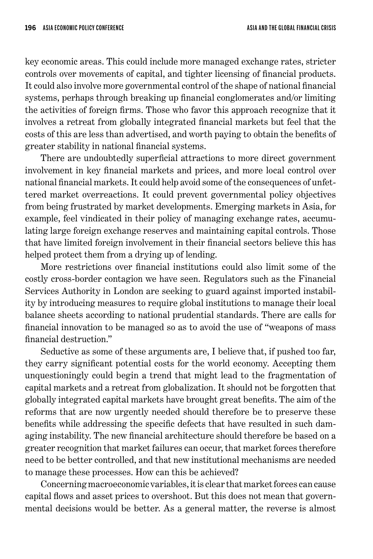key economic areas. This could include more managed exchange rates, stricter controls over movements of capital, and tighter licensing of financial products. It could also involve more governmental control of the shape of national financial systems, perhaps through breaking up financial conglomerates and/or limiting the activities of foreign firms. Those who favor this approach recognize that it involves a retreat from globally integrated financial markets but feel that the costs of this are less than advertised, and worth paying to obtain the benefits of greater stability in national financial systems.

There are undoubtedly superficial attractions to more direct government involvement in key financial markets and prices, and more local control over national financial markets. It could help avoid some of the consequences of unfettered market overreactions. It could prevent governmental policy objectives from being frustrated by market developments. Emerging markets in Asia, for example, feel vindicated in their policy of managing exchange rates, accumulating large foreign exchange reserves and maintaining capital controls. Those that have limited foreign involvement in their financial sectors believe this has helped protect them from a drying up of lending.

More restrictions over financial institutions could also limit some of the costly cross-border contagion we have seen. Regulators such as the Financial Services Authority in London are seeking to guard against imported instability by introducing measures to require global institutions to manage their local balance sheets according to national prudential standards. There are calls for financial innovation to be managed so as to avoid the use of "weapons of mass financial destruction."

Seductive as some of these arguments are, I believe that, if pushed too far, they carry significant potential costs for the world economy. Accepting them unquestioningly could begin a trend that might lead to the fragmentation of capital markets and a retreat from globalization. It should not be forgotten that globally integrated capital markets have brought great benefits. The aim of the reforms that are now urgently needed should therefore be to preserve these benefits while addressing the specific defects that have resulted in such damaging instability. The new financial architecture should therefore be based on a greater recognition that market failures can occur, that market forces therefore need to be better controlled, and that new institutional mechanisms are needed to manage these processes. How can this be achieved?

Concerning macroeconomic variables, it is clear that market forces can cause capital flows and asset prices to overshoot. But this does not mean that governmental decisions would be better. As a general matter, the reverse is almost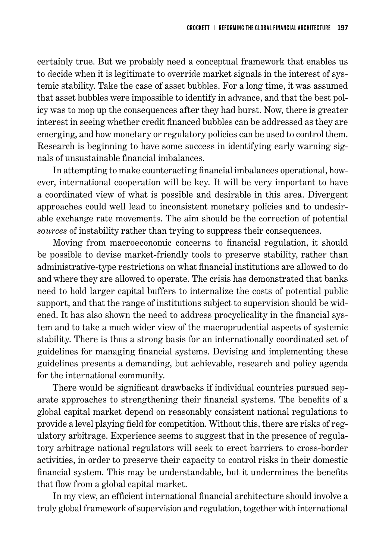certainly true. But we probably need a conceptual framework that enables us to decide when it is legitimate to override market signals in the interest of systemic stability. Take the case of asset bubbles. For a long time, it was assumed that asset bubbles were impossible to identify in advance, and that the best policy was to mop up the consequences after they had burst. Now, there is greater interest in seeing whether credit financed bubbles can be addressed as they are emerging, and how monetary or regulatory policies can be used to control them. Research is beginning to have some success in identifying early warning signals of unsustainable financial imbalances.

In attempting to make counteracting financial imbalances operational, however, international cooperation will be key. It will be very important to have a coordinated view of what is possible and desirable in this area. Divergent approaches could well lead to inconsistent monetary policies and to undesirable exchange rate movements. The aim should be the correction of potential *sources* of instability rather than trying to suppress their consequences.

Moving from macroeconomic concerns to financial regulation, it should be possible to devise market-friendly tools to preserve stability, rather than administrative-type restrictions on what financial institutions are allowed to do and where they are allowed to operate. The crisis has demonstrated that banks need to hold larger capital buffers to internalize the costs of potential public support, and that the range of institutions subject to supervision should be widened. It has also shown the need to address procyclicality in the financial system and to take a much wider view of the macroprudential aspects of systemic stability. There is thus a strong basis for an internationally coordinated set of guidelines for managing financial systems. Devising and implementing these guidelines presents a demanding, but achievable, research and policy agenda for the international community.

There would be significant drawbacks if individual countries pursued separate approaches to strengthening their financial systems. The benefits of a global capital market depend on reasonably consistent national regulations to provide a level playing field for competition. Without this, there are risks of regulatory arbitrage. Experience seems to suggest that in the presence of regulatory arbitrage national regulators will seek to erect barriers to cross-border activities, in order to preserve their capacity to control risks in their domestic financial system. This may be understandable, but it undermines the benefits that flow from a global capital market.

In my view, an efficient international financial architecture should involve a truly global framework of supervision and regulation, together with international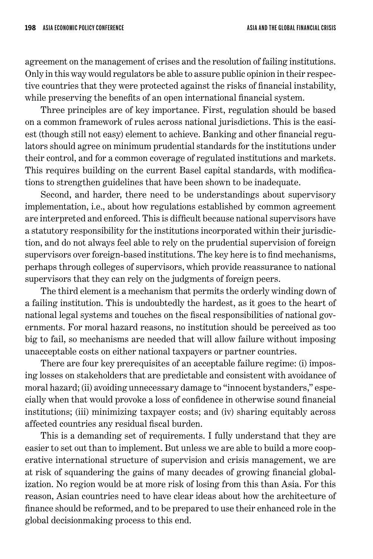agreement on the management of crises and the resolution of failing institutions. Only in this way would regulators be able to assure public opinion in their respective countries that they were protected against the risks of financial instability, while preserving the benefits of an open international financial system.

Three principles are of key importance. First, regulation should be based on a common framework of rules across national jurisdictions. This is the easiest (though still not easy) element to achieve. Banking and other financial regulators should agree on minimum prudential standards for the institutions under their control, and for a common coverage of regulated institutions and markets. This requires building on the current Basel capital standards, with modifications to strengthen guidelines that have been shown to be inadequate.

Second, and harder, there need to be understandings about supervisory implementation, i.e., about how regulations established by common agreement are interpreted and enforced. This is difficult because national supervisors have a statutory responsibility for the institutions incorporated within their jurisdiction, and do not always feel able to rely on the prudential supervision of foreign supervisors over foreign-based institutions. The key here is to find mechanisms, perhaps through colleges of supervisors, which provide reassurance to national supervisors that they can rely on the judgments of foreign peers.

The third element is a mechanism that permits the orderly winding down of a failing institution. This is undoubtedly the hardest, as it goes to the heart of national legal systems and touches on the fiscal responsibilities of national governments. For moral hazard reasons, no institution should be perceived as too big to fail, so mechanisms are needed that will allow failure without imposing unacceptable costs on either national taxpayers or partner countries.

There are four key prerequisites of an acceptable failure regime: (i) imposing losses on stakeholders that are predictable and consistent with avoidance of moral hazard; (ii) avoiding unnecessary damage to "innocent bystanders," especially when that would provoke a loss of confidence in otherwise sound financial institutions; (iii) minimizing taxpayer costs; and (iv) sharing equitably across affected countries any residual fiscal burden.

This is a demanding set of requirements. I fully understand that they are easier to set out than to implement. But unless we are able to build a more cooperative international structure of supervision and crisis management, we are at risk of squandering the gains of many decades of growing financial globalization. No region would be at more risk of losing from this than Asia. For this reason, Asian countries need to have clear ideas about how the architecture of finance should be reformed, and to be prepared to use their enhanced role in the global decisionmaking process to this end.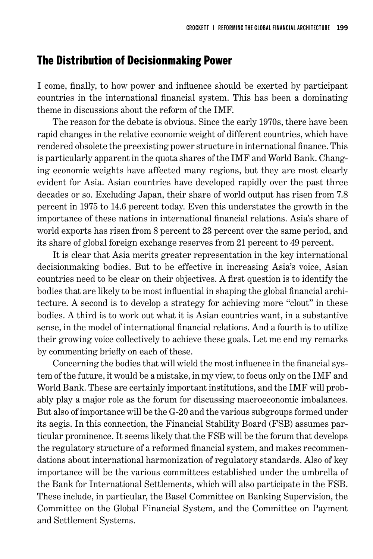#### The Distribution of Decisionmaking Power

I come, finally, to how power and influence should be exerted by participant countries in the international financial system. This has been a dominating theme in discussions about the reform of the IMF.

The reason for the debate is obvious. Since the early 1970s, there have been rapid changes in the relative economic weight of different countries, which have rendered obsolete the preexisting power structure in international finance. This is particularly apparent in the quota shares of the IMF and World Bank. Changing economic weights have affected many regions, but they are most clearly evident for Asia. Asian countries have developed rapidly over the past three decades or so. Excluding Japan, their share of world output has risen from 7.8 percent in 1975 to 14.6 percent today. Even this understates the growth in the importance of these nations in international financial relations. Asia's share of world exports has risen from 8 percent to 23 percent over the same period, and its share of global foreign exchange reserves from 21 percent to 49 percent.

It is clear that Asia merits greater representation in the key international decisionmaking bodies. But to be effective in increasing Asia's voice, Asian countries need to be clear on their objectives. A first question is to identify the bodies that are likely to be most influential in shaping the global financial architecture. A second is to develop a strategy for achieving more "clout" in these bodies. A third is to work out what it is Asian countries want, in a substantive sense, in the model of international financial relations. And a fourth is to utilize their growing voice collectively to achieve these goals. Let me end my remarks by commenting briefly on each of these.

Concerning the bodies that will wield the most influence in the financial system of the future, it would be a mistake, in my view, to focus only on the IMF and World Bank. These are certainly important institutions, and the IMF will probably play a major role as the forum for discussing macroeconomic imbalances. But also of importance will be the G-20 and the various subgroups formed under its aegis. In this connection, the Financial Stability Board (FSB) assumes particular prominence. It seems likely that the FSB will be the forum that develops the regulatory structure of a reformed financial system, and makes recommendations about international harmonization of regulatory standards. Also of key importance will be the various committees established under the umbrella of the Bank for International Settlements, which will also participate in the FSB. These include, in particular, the Basel Committee on Banking Supervision, the Committee on the Global Financial System, and the Committee on Payment and Settlement Systems.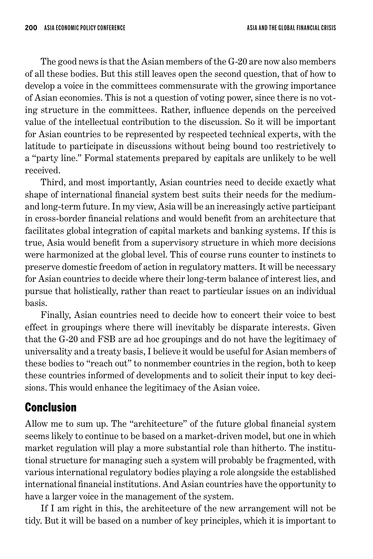The good news is that the Asian members of the G-20 are now also members of all these bodies. But this still leaves open the second question, that of how to develop a voice in the committees commensurate with the growing importance of Asian economies. This is not a question of voting power, since there is no voting structure in the committees. Rather, influence depends on the perceived value of the intellectual contribution to the discussion. So it will be important for Asian countries to be represented by respected technical experts, with the latitude to participate in discussions without being bound too restrictively to a "party line." Formal statements prepared by capitals are unlikely to be well received.

Third, and most importantly, Asian countries need to decide exactly what shape of international financial system best suits their needs for the mediumand long-term future. In my view, Asia will be an increasingly active participant in cross-border financial relations and would benefit from an architecture that facilitates global integration of capital markets and banking systems. If this is true, Asia would benefit from a supervisory structure in which more decisions were harmonized at the global level. This of course runs counter to instincts to preserve domestic freedom of action in regulatory matters. It will be necessary for Asian countries to decide where their long-term balance of interest lies, and pursue that holistically, rather than react to particular issues on an individual basis.

Finally, Asian countries need to decide how to concert their voice to best effect in groupings where there will inevitably be disparate interests. Given that the G-20 and FSB are ad hoc groupings and do not have the legitimacy of universality and a treaty basis, I believe it would be useful for Asian members of these bodies to "reach out" to nonmember countries in the region, both to keep these countries informed of developments and to solicit their input to key decisions. This would enhance the legitimacy of the Asian voice.

# Conclusion

Allow me to sum up. The "architecture" of the future global financial system seems likely to continue to be based on a market-driven model, but one in which market regulation will play a more substantial role than hitherto. The institutional structure for managing such a system will probably be fragmented, with various international regulatory bodies playing a role alongside the established international financial institutions. And Asian countries have the opportunity to have a larger voice in the management of the system.

If I am right in this, the architecture of the new arrangement will not be tidy. But it will be based on a number of key principles, which it is important to